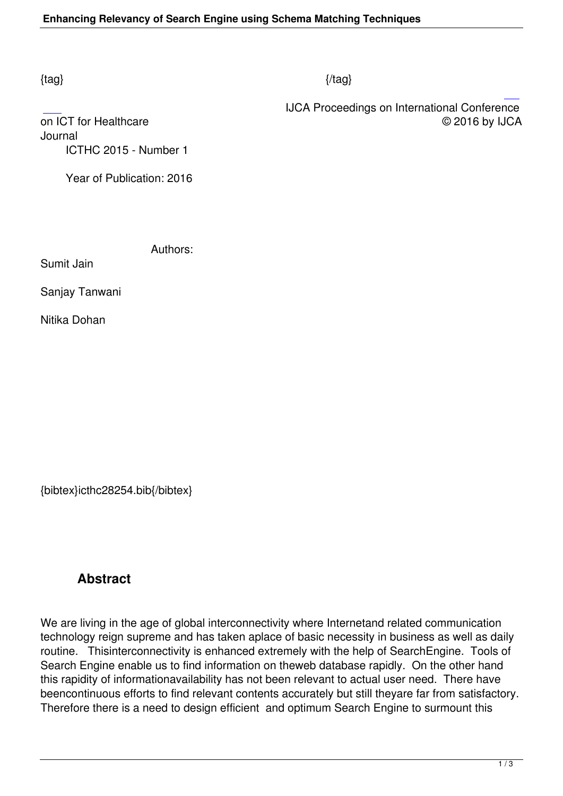IJCA Proceedings on International Conference on ICT for Healthcare © 2016 by IJCA

Journal ICTHC 2015 - Number 1

Year of Publication: 2016

Authors:

Sumit Jain

Sanjay Tanwani

Nitika Dohan

{bibtex}icthc28254.bib{/bibtex}

## **Abstract**

We are living in the age of global interconnectivity where Internetand related communication technology reign supreme and has taken aplace of basic necessity in business as well as daily routine. Thisinterconnectivity is enhanced extremely with the help of SearchEngine. Tools of Search Engine enable us to find information on theweb database rapidly. On the other hand this rapidity of informationavailability has not been relevant to actual user need. There have beencontinuous efforts to find relevant contents accurately but still theyare far from satisfactory. Therefore there is a need to design efficient and optimum Search Engine to surmount this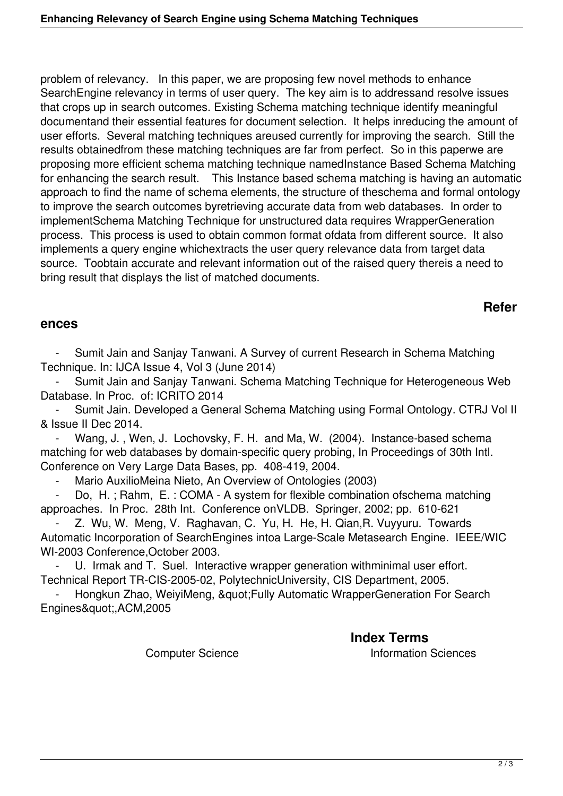problem of relevancy. In this paper, we are proposing few novel methods to enhance SearchEngine relevancy in terms of user query. The key aim is to addressand resolve issues that crops up in search outcomes. Existing Schema matching technique identify meaningful documentand their essential features for document selection. It helps inreducing the amount of user efforts. Several matching techniques areused currently for improving the search. Still the results obtainedfrom these matching techniques are far from perfect. So in this paperwe are proposing more efficient schema matching technique namedInstance Based Schema Matching for enhancing the search result. This Instance based schema matching is having an automatic approach to find the name of schema elements, the structure of theschema and formal ontology to improve the search outcomes byretrieving accurate data from web databases. In order to implementSchema Matching Technique for unstructured data requires WrapperGeneration process. This process is used to obtain common format ofdata from different source. It also implements a query engine whichextracts the user query relevance data from target data source. Toobtain accurate and relevant information out of the raised query thereis a need to bring result that displays the list of matched documents.

## **Refer**

## **ences**

Sumit Jain and Sanjay Tanwani. A Survey of current Research in Schema Matching Technique. In: IJCA Issue 4, Vol 3 (June 2014)

Sumit Jain and Sanjay Tanwani. Schema Matching Technique for Heterogeneous Web Database. In Proc. of: ICRITO 2014

 - Sumit Jain. Developed a General Schema Matching using Formal Ontology. CTRJ Vol II & Issue II Dec 2014.

Wang, J., Wen, J. Lochovsky, F. H. and Ma, W. (2004). Instance-based schema matching for web databases by domain-specific query probing, In Proceedings of 30th Intl. Conference on Very Large Data Bases, pp. 408-419, 2004.

Mario AuxilioMeina Nieto, An Overview of Ontologies (2003)

Do, H.; Rahm, E.: COMA - A system for flexible combination ofschema matching approaches. In Proc. 28th Int. Conference onVLDB. Springer, 2002; pp. 610-621

 - Z. Wu, W. Meng, V. Raghavan, C. Yu, H. He, H. Qian,R. Vuyyuru. Towards Automatic Incorporation of SearchEngines intoa Large-Scale Metasearch Engine. IEEE/WIC WI-2003 Conference,October 2003.

U. Irmak and T. Suel. Interactive wrapper generation withminimal user effort. Technical Report TR-CIS-2005-02, PolytechnicUniversity, CIS Department, 2005.

Hongkun Zhao, WeiyiMeng, & au t: Fully Automatic WrapperGeneration For Search Engines&quot:,ACM,2005

**Index Terms** 

Computer Science **Information Sciences**